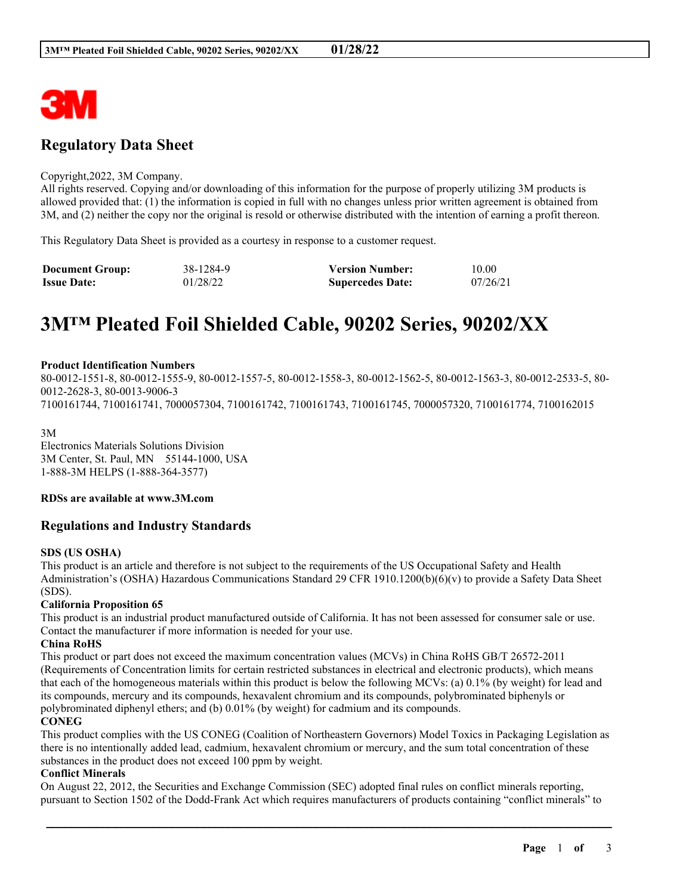

## **Regulatory Data Sheet**

#### Copyright,2022, 3M Company.

All rights reserved. Copying and/or downloading of this information for the purpose of properly utilizing 3M products is allowed provided that: (1) the information is copied in full with no changes unless prior written agreement is obtained from 3M, and (2) neither the copy nor the original is resold or otherwise distributed with the intention of earning a profit thereon.

This Regulatory Data Sheet is provided as a courtesy in response to a customer request.

| <b>Document Group:</b> | 38-1284-9 | <b>Version Number:</b>  | 10.00    |
|------------------------|-----------|-------------------------|----------|
| <b>Issue Date:</b>     | 01/28/22  | <b>Supercedes Date:</b> | 07/26/21 |

# **3M™ Pleated Foil Shielded Cable, 90202 Series, 90202/XX**

#### **Product Identification Numbers**

80-0012-1551-8, 80-0012-1555-9, 80-0012-1557-5, 80-0012-1558-3, 80-0012-1562-5, 80-0012-1563-3, 80-0012-2533-5, 80- 0012-2628-3, 80-0013-9006-3 7100161744, 7100161741, 7000057304, 7100161742, 7100161743, 7100161745, 7000057320, 7100161774, 7100162015

3M Electronics Materials Solutions Division 3M Center, St. Paul, MN 55144-1000, USA 1-888-3M HELPS (1-888-364-3577)

**RDSs are available at www.3M.com**

## **Regulations and Industry Standards**

#### **SDS (US OSHA)**

This product is an article and therefore is not subject to the requirements of the US Occupational Safety and Health Administration's (OSHA) Hazardous Communications Standard 29 CFR 1910.1200(b)(6)(v) to provide a Safety Data Sheet (SDS).

#### **California Proposition 65**

This product is an industrial product manufactured outside of California. It has not been assessed for consumer sale or use. Contact the manufacturer if more information is needed for your use.

#### **China RoHS**

This product or part does not exceed the maximum concentration values (MCVs) in China RoHS GB/T 26572-2011 (Requirements of Concentration limits for certain restricted substances in electrical and electronic products), which means that each of the homogeneous materials within this product is below the following MCVs: (a) 0.1% (by weight) for lead and its compounds, mercury and its compounds, hexavalent chromium and its compounds, polybrominated biphenyls or polybrominated diphenyl ethers; and (b) 0.01% (by weight) for cadmium and its compounds.

## **CONEG**

This product complies with the US CONEG (Coalition of Northeastern Governors) Model Toxics in Packaging Legislation as there is no intentionally added lead, cadmium, hexavalent chromium or mercury, and the sum total concentration of these substances in the product does not exceed 100 ppm by weight.

#### **Conflict Minerals**

On August 22, 2012, the Securities and Exchange Commission (SEC) adopted final rules on conflict minerals reporting, pursuant to Section 1502 of the Dodd-Frank Act which requires manufacturers of products containing "conflict minerals" to

\_\_\_\_\_\_\_\_\_\_\_\_\_\_\_\_\_\_\_\_\_\_\_\_\_\_\_\_\_\_\_\_\_\_\_\_\_\_\_\_\_\_\_\_\_\_\_\_\_\_\_\_\_\_\_\_\_\_\_\_\_\_\_\_\_\_\_\_\_\_\_\_\_\_\_\_\_\_\_\_\_\_\_\_\_\_\_\_\_\_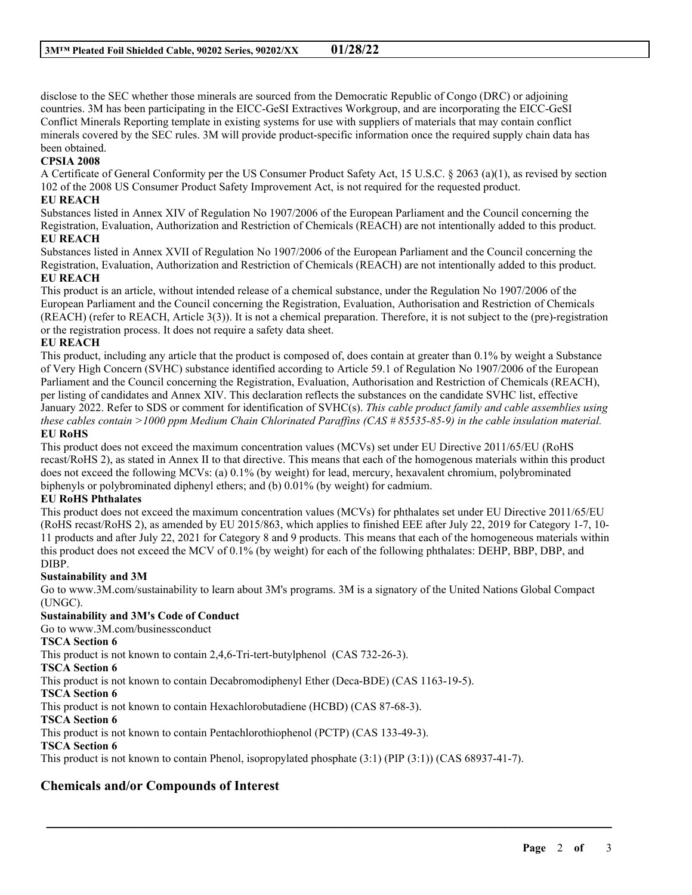disclose to the SEC whether those minerals are sourced from the Democratic Republic of Congo (DRC) or adjoining countries. 3M has been participating in the EICC-GeSI Extractives Workgroup, and are incorporating the EICC-GeSI Conflict Minerals Reporting template in existing systems for use with suppliers of materials that may contain conflict minerals covered by the SEC rules. 3M will provide product-specific information once the required supply chain data has been obtained.

## **CPSIA 2008**

A Certificate of General Conformity per the US Consumer Product Safety Act, 15 U.S.C. § 2063 (a)(1), as revised by section 102 of the 2008 US Consumer Product Safety Improvement Act, is not required for the requested product.

## **EU REACH**

Substances listed in Annex XIV of Regulation No 1907/2006 of the European Parliament and the Council concerning the Registration, Evaluation, Authorization and Restriction of Chemicals (REACH) are not intentionally added to this product. **EU REACH**

Substances listed in Annex XVII of Regulation No 1907/2006 of the European Parliament and the Council concerning the Registration, Evaluation, Authorization and Restriction of Chemicals (REACH) are not intentionally added to this product. **EU REACH**

This product is an article, without intended release of a chemical substance, under the Regulation No 1907/2006 of the European Parliament and the Council concerning the Registration, Evaluation, Authorisation and Restriction of Chemicals (REACH) (refer to REACH, Article 3(3)). It is not a chemical preparation. Therefore, it is not subject to the (pre)-registration or the registration process. It does not require a safety data sheet.

### **EU REACH**

This product, including any article that the product is composed of, does contain at greater than 0.1% by weight a Substance of Very High Concern (SVHC) substance identified according to Article 59.1 of Regulation No 1907/2006 of the European Parliament and the Council concerning the Registration, Evaluation, Authorisation and Restriction of Chemicals (REACH), per listing of candidates and Annex XIV. This declaration reflects the substances on the candidate SVHC list, effective January 2022. Refer to SDS or comment for identification of SVHC(s). *This cable product family and cable assemblies using* these cables contain >1000 ppm Medium Chain Chlorinated Paraffins  $(CAS \# 85535-85-9)$  in the cable insulation material. **EU RoHS**

This product does not exceed the maximum concentration values (MCVs) set under EU Directive 2011/65/EU (RoHS recast/RoHS 2), as stated in Annex II to that directive. This means that each of the homogenous materials within this product does not exceed the following MCVs: (a) 0.1% (by weight) for lead, mercury, hexavalent chromium, polybrominated biphenyls or polybrominated diphenyl ethers; and (b) 0.01% (by weight) for cadmium.

### **EU RoHS Phthalates**

This product does not exceed the maximum concentration values (MCVs) for phthalates set under EU Directive 2011/65/EU (RoHS recast/RoHS 2), as amended by EU 2015/863, which applies to finished EEE after July 22, 2019 for Category 1-7, 10- 11 products and after July 22, 2021 for Category 8 and 9 products. This means that each of the homogeneous materials within this product does not exceed the MCV of 0.1% (by weight) for each of the following phthalates: DEHP, BBP, DBP, and DIBP.

### **Sustainability and 3M**

Go to www.3M.com/sustainability to learn about 3M's programs. 3M is a signatory of the United Nations Global Compact (UNGC).

\_\_\_\_\_\_\_\_\_\_\_\_\_\_\_\_\_\_\_\_\_\_\_\_\_\_\_\_\_\_\_\_\_\_\_\_\_\_\_\_\_\_\_\_\_\_\_\_\_\_\_\_\_\_\_\_\_\_\_\_\_\_\_\_\_\_\_\_\_\_\_\_\_\_\_\_\_\_\_\_\_\_\_\_\_\_\_\_\_\_

## **Sustainability and 3M's Code of Conduct**

Go to www.3M.com/businessconduct

### **TSCA Section 6**

This product is not known to contain 2,4,6-Tri-tert-butylphenol (CAS 732-26-3).

**TSCA Section 6**

This product is not known to contain Decabromodiphenyl Ether (Deca-BDE) (CAS 1163-19-5).

### **TSCA Section 6**

This product is not known to contain Hexachlorobutadiene (HCBD) (CAS 87-68-3).

**TSCA Section 6**

This product is not known to contain Pentachlorothiophenol (PCTP) (CAS 133-49-3).

### **TSCA Section 6**

This product is not known to contain Phenol, isopropylated phosphate (3:1) (PIP (3:1)) (CAS 68937-41-7).

## **Chemicals and/or Compounds of Interest**